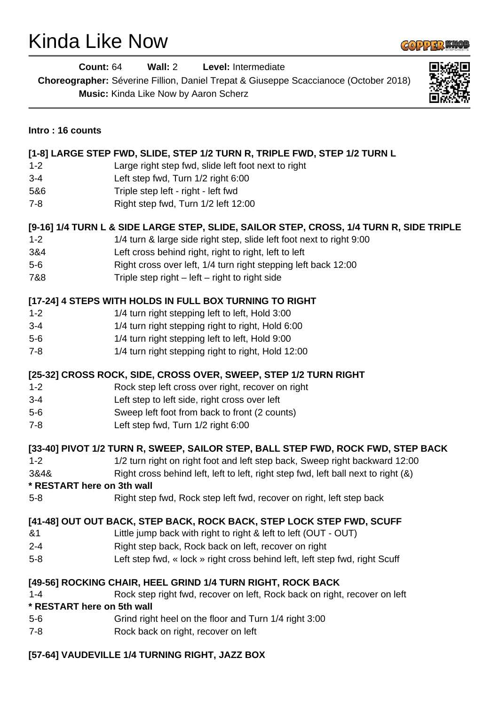## Kinda Like Now

**COPPER WICB** 

| <b>Count: 64</b>                                          | Wall: $2$<br>Level: Intermediate<br>Choreographer: Séverine Fillion, Daniel Trepat & Giuseppe Scaccianoce (October 2018)<br>Music: Kinda Like Now by Aaron Scherz                                                                                                                                                                                |  |
|-----------------------------------------------------------|--------------------------------------------------------------------------------------------------------------------------------------------------------------------------------------------------------------------------------------------------------------------------------------------------------------------------------------------------|--|
| Intro: 16 counts                                          |                                                                                                                                                                                                                                                                                                                                                  |  |
|                                                           | [1-8] LARGE STEP FWD, SLIDE, STEP 1/2 TURN R, TRIPLE FWD, STEP 1/2 TURN L                                                                                                                                                                                                                                                                        |  |
| $1 - 2$                                                   | Large right step fwd, slide left foot next to right                                                                                                                                                                                                                                                                                              |  |
| $3 - 4$                                                   | Left step fwd, Turn 1/2 right 6:00                                                                                                                                                                                                                                                                                                               |  |
| 5&6                                                       | Triple step left - right - left fwd                                                                                                                                                                                                                                                                                                              |  |
| $7 - 8$                                                   | Right step fwd, Turn 1/2 left 12:00                                                                                                                                                                                                                                                                                                              |  |
| $1 - 2$<br>3&4<br>$5-6$<br>7&8                            | [9-16] 1/4 TURN L & SIDE LARGE STEP, SLIDE, SAILOR STEP, CROSS, 1/4 TURN R, SIDE TRIPLE<br>1/4 turn & large side right step, slide left foot next to right 9:00<br>Left cross behind right, right to right, left to left<br>Right cross over left, 1/4 turn right stepping left back 12:00<br>Triple step right $-$ left $-$ right to right side |  |
|                                                           | [17-24] 4 STEPS WITH HOLDS IN FULL BOX TURNING TO RIGHT                                                                                                                                                                                                                                                                                          |  |
| $1 - 2$                                                   | 1/4 turn right stepping left to left, Hold 3:00                                                                                                                                                                                                                                                                                                  |  |
| $3 - 4$                                                   | 1/4 turn right stepping right to right, Hold 6:00                                                                                                                                                                                                                                                                                                |  |
| $5-6$                                                     | 1/4 turn right stepping left to left, Hold 9:00                                                                                                                                                                                                                                                                                                  |  |
| $7 - 8$                                                   | 1/4 turn right stepping right to right, Hold 12:00                                                                                                                                                                                                                                                                                               |  |
| $1 - 2$<br>$3 - 4$<br>$5-6$<br>$7 - 8$                    | [25-32] CROSS ROCK, SIDE, CROSS OVER, SWEEP, STEP 1/2 TURN RIGHT<br>Rock step left cross over right, recover on right<br>Left step to left side, right cross over left<br>Sweep left foot from back to front (2 counts)<br>Left step fwd, Turn 1/2 right 6:00                                                                                    |  |
| $1 - 2$<br>3&4&<br>* RESTART here on 3th wall<br>$5 - 8$  | [33-40] PIVOT 1/2 TURN R, SWEEP, SAILOR STEP, BALL STEP FWD, ROCK FWD, STEP BACK<br>1/2 turn right on right foot and left step back, Sweep right backward 12:00<br>Right cross behind left, left to left, right step fwd, left ball next to right (&)<br>Right step fwd, Rock step left fwd, recover on right, left step back                    |  |
| 81<br>$2 - 4$<br>$5-8$                                    | [41-48] OUT OUT BACK, STEP BACK, ROCK BACK, STEP LOCK STEP FWD, SCUFF<br>Little jump back with right to right & left to left (OUT - OUT)<br>Right step back, Rock back on left, recover on right<br>Left step fwd, « lock » right cross behind left, left step fwd, right Scuff                                                                  |  |
| $1 - 4$<br>* RESTART here on 5th wall<br>$5-6$<br>$7 - 8$ | [49-56] ROCKING CHAIR, HEEL GRIND 1/4 TURN RIGHT, ROCK BACK<br>Rock step right fwd, recover on left, Rock back on right, recover on left<br>Grind right heel on the floor and Turn 1/4 right 3:00<br>Rock back on right, recover on left                                                                                                         |  |

## **[57-64] VAUDEVILLE 1/4 TURNING RIGHT, JAZZ BOX**